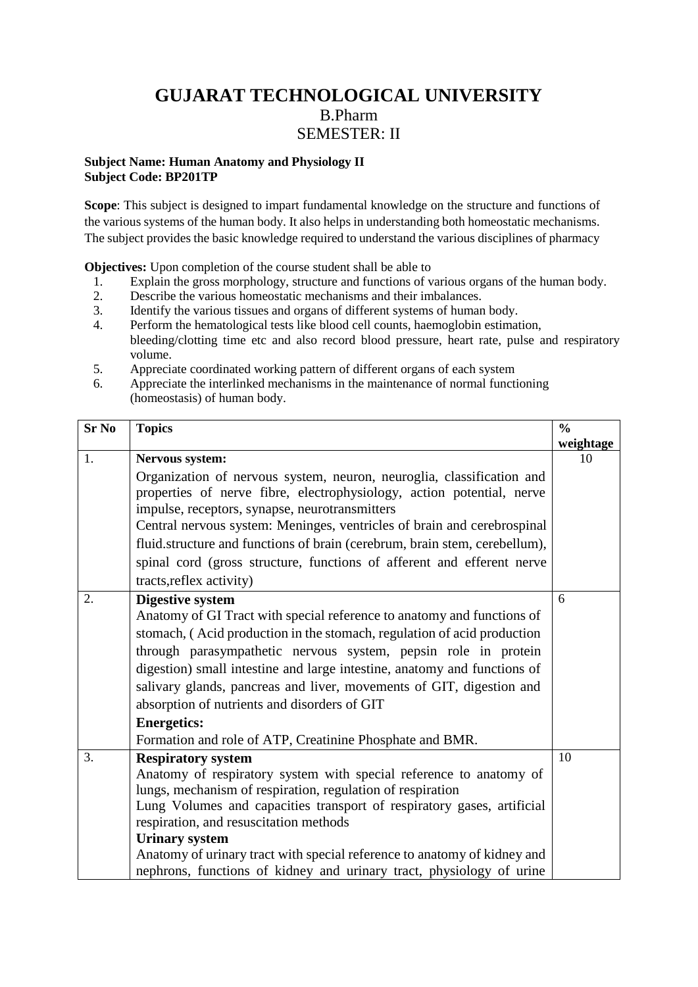# **GUJARAT TECHNOLOGICAL UNIVERSITY** B.Pharm SEMESTER: II

#### **Subject Name: Human Anatomy and Physiology II Subject Code: BP201TP**

**Scope**: This subject is designed to impart fundamental knowledge on the structure and functions of the various systems of the human body. It also helps in understanding both homeostatic mechanisms. The subject provides the basic knowledge required to understand the various disciplines of pharmacy

**Objectives:** Upon completion of the course student shall be able to

- 1. Explain the gross morphology, structure and functions of various organs of the human body.
- 2. Describe the various homeostatic mechanisms and their imbalances.
- 3. Identify the various tissues and organs of different systems of human body.
- 4. Perform the hematological tests like blood cell counts, haemoglobin estimation, bleeding/clotting time etc and also record blood pressure, heart rate, pulse and respiratory volume.
- 5. Appreciate coordinated working pattern of different organs of each system
- 6. Appreciate the interlinked mechanisms in the maintenance of normal functioning (homeostasis) of human body.

| <b>Sr No</b> | <b>Topics</b>                                                              | $\frac{0}{0}$ |
|--------------|----------------------------------------------------------------------------|---------------|
|              |                                                                            | weightage     |
| 1.           | Nervous system:                                                            | 10            |
|              | Organization of nervous system, neuron, neuroglia, classification and      |               |
|              | properties of nerve fibre, electrophysiology, action potential, nerve      |               |
|              | impulse, receptors, synapse, neurotransmitters                             |               |
|              | Central nervous system: Meninges, ventricles of brain and cerebrospinal    |               |
|              | fluid.structure and functions of brain (cerebrum, brain stem, cerebellum), |               |
|              | spinal cord (gross structure, functions of afferent and efferent nerve     |               |
|              | tracts, reflex activity)                                                   |               |
| 2.           | <b>Digestive system</b>                                                    | 6             |
|              | Anatomy of GI Tract with special reference to anatomy and functions of     |               |
|              | stomach, (Acid production in the stomach, regulation of acid production    |               |
|              | through parasympathetic nervous system, pepsin role in protein             |               |
|              | digestion) small intestine and large intestine, anatomy and functions of   |               |
|              | salivary glands, pancreas and liver, movements of GIT, digestion and       |               |
|              | absorption of nutrients and disorders of GIT                               |               |
|              | <b>Energetics:</b>                                                         |               |
|              | Formation and role of ATP, Creatinine Phosphate and BMR.                   |               |
| 3.           | <b>Respiratory system</b>                                                  | 10            |
|              | Anatomy of respiratory system with special reference to anatomy of         |               |
|              | lungs, mechanism of respiration, regulation of respiration                 |               |
|              | Lung Volumes and capacities transport of respiratory gases, artificial     |               |
|              | respiration, and resuscitation methods                                     |               |
|              | <b>Urinary system</b>                                                      |               |
|              | Anatomy of urinary tract with special reference to anatomy of kidney and   |               |
|              | nephrons, functions of kidney and urinary tract, physiology of urine       |               |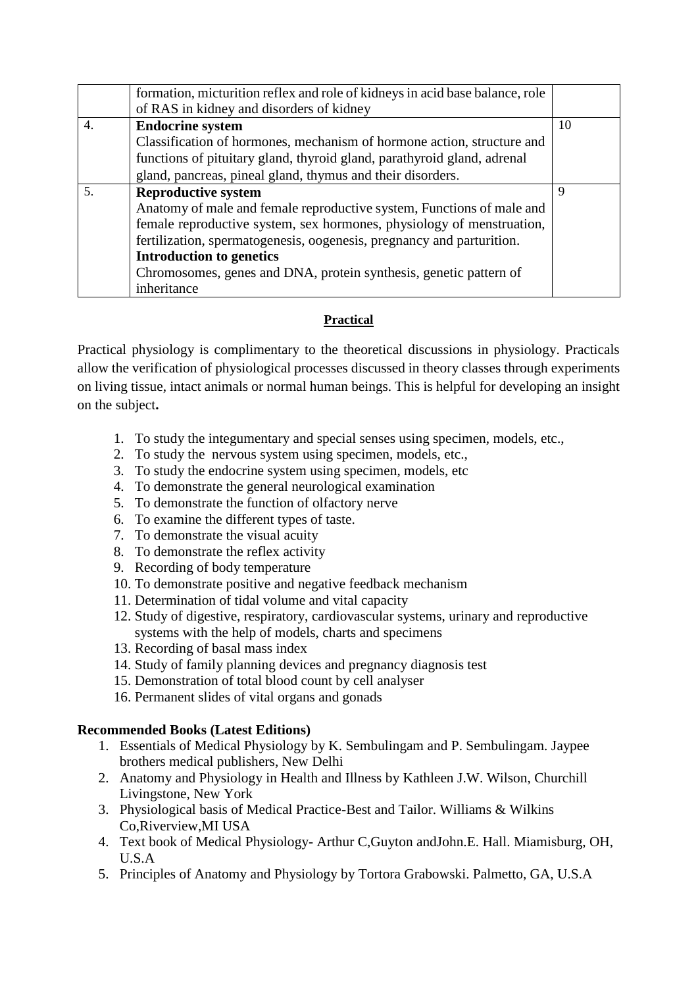|                 | formation, micturition reflex and role of kidneys in acid base balance, role |    |
|-----------------|------------------------------------------------------------------------------|----|
|                 | of RAS in kidney and disorders of kidney                                     |    |
| 4.              | <b>Endocrine system</b>                                                      | 10 |
|                 | Classification of hormones, mechanism of hormone action, structure and       |    |
|                 | functions of pituitary gland, thyroid gland, parathyroid gland, adrenal      |    |
|                 | gland, pancreas, pineal gland, thymus and their disorders.                   |    |
| $\mathcal{F}$ . | <b>Reproductive system</b>                                                   | 9  |
|                 | Anatomy of male and female reproductive system, Functions of male and        |    |
|                 | female reproductive system, sex hormones, physiology of menstruation,        |    |
|                 | fertilization, spermatogenesis, oogenesis, pregnancy and parturition.        |    |
|                 | <b>Introduction to genetics</b>                                              |    |
|                 | Chromosomes, genes and DNA, protein synthesis, genetic pattern of            |    |
|                 | inheritance                                                                  |    |

### **Practical**

Practical physiology is complimentary to the theoretical discussions in physiology. Practicals allow the verification of physiological processes discussed in theory classes through experiments on living tissue, intact animals or normal human beings. This is helpful for developing an insight on the subject**.**

- 1. To study the integumentary and special senses using specimen, models, etc.,
- 2. To study the nervous system using specimen, models, etc.,
- 3. To study the endocrine system using specimen, models, etc
- 4. To demonstrate the general neurological examination
- 5. To demonstrate the function of olfactory nerve
- 6. To examine the different types of taste.
- 7. To demonstrate the visual acuity
- 8. To demonstrate the reflex activity
- 9. Recording of body temperature
- 10. To demonstrate positive and negative feedback mechanism
- 11. Determination of tidal volume and vital capacity
- 12. Study of digestive, respiratory, cardiovascular systems, urinary and reproductive systems with the help of models, charts and specimens
- 13. Recording of basal mass index
- 14. Study of family planning devices and pregnancy diagnosis test
- 15. Demonstration of total blood count by cell analyser
- 16. Permanent slides of vital organs and gonads

## **Recommended Books (Latest Editions)**

- 1. Essentials of Medical Physiology by K. Sembulingam and P. Sembulingam. Jaypee brothers medical publishers, New Delhi
- 2. Anatomy and Physiology in Health and Illness by Kathleen J.W. Wilson, Churchill Livingstone, New York
- 3. Physiological basis of Medical Practice-Best and Tailor. Williams & Wilkins Co,Riverview,MI USA
- 4. Text book of Medical Physiology- Arthur C,Guyton andJohn.E. Hall. Miamisburg, OH, U.S.A
- 5. Principles of Anatomy and Physiology by Tortora Grabowski. Palmetto, GA, U.S.A